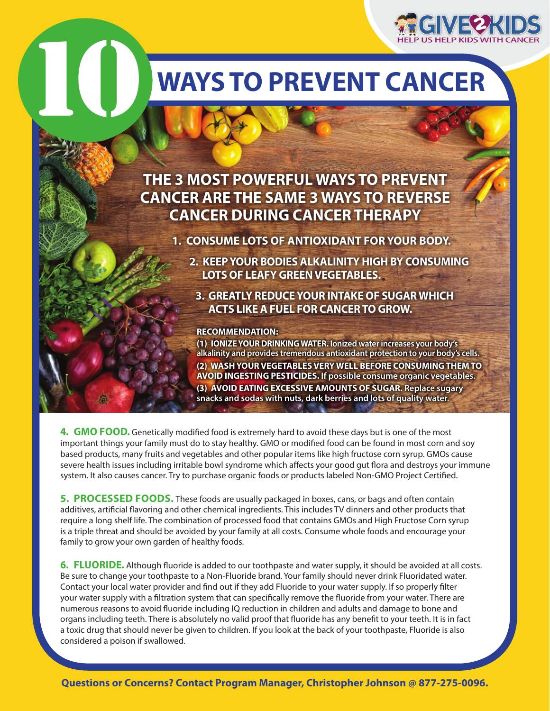

## **Ways to prevent Cancer**

### **THE 3 MOST POWERFUL WAYS TO PREVENT CANCER ARE THE SAME 3 WAYS TO REVERSE CANCER DURING CANCER THERAPY**

 **1. CONSUME LOTS OF ANTIOXIDANT FOR YOUR BODY.**

- **2. KEEPYOUR BODIES ALKALINITY HIGH BY CONSUMING LOTS OF LEAFY GREENVEGETABLES.**
	- **3. GREATLY REDUCEYOUR INTAKE OF SUGAR WHICH ACTS LIKE A FUEL FOR CANCERTO GROW.**

#### **RECOMMENDATION:**

10

**(1) IONIZEYOUR DRINKING WATER. Ionized water increases your body's alkalinity and provides tremendous antioxidant protection to your body's cells. (2) WASH YOUR VEGETABLES VERY WELL BEFORE CONSUMING THEM TO AVOID INGESTING PESTICIDES. If possible consume organic vegetables. (3) AVOID EATING EXCESSIVE AMOUNTS OF SUGAR. Replace sugary snacks and sodas with nuts, dark berries and lots of quality water.**

**4. GMO food.** Genetically modified food is extremely hard to avoid these days but is one of the most important things your family must do to stay healthy. GMO or modified food can be found in most corn and soy based products, many fruits and vegetables and other popular items like high fructose corn syrup. GMOs cause severe health issues including irritable bowl syndrome which affects your good gut flora and destroys your immune system. It also causes cancer. Try to purchase organic foods or products labeled Non-GMO Project Certified.

**5. PROCESSED FOODS.** These foods are usually packaged in boxes, cans, or bags and often contain additives, artificial flavoring and other chemical ingredients. This includes TV dinners and other products that require a long shelf life. The combination of processed food that contains GMOs and High Fructose Corn syrup is a triple threat and should be avoided by your family at all costs. Consume whole foods and encourage your family to grow your own garden of healthy foods.

**6. FLUORIDE.** Although fluoride is added to our toothpaste and water supply, it should be avoided at all costs. Be sure to change your toothpaste to a Non-Fluoride brand. Your family should never drink Fluoridated water. Contact your local water provider and find out if they add Fluoride to your water supply. If so properly filter your water supply with a filtration system that can specifically remove the fluoride from your water. There are numerous reasons to avoid fluoride including IQ reduction in children and adults and damage to bone and organs including teeth. There is absolutely no valid proof that fluoride has any benefit to your teeth. It is in fact a toxic drug that should never be given to children. If you look at the back of your toothpaste, Fluoride is also considered a poison if swallowed.